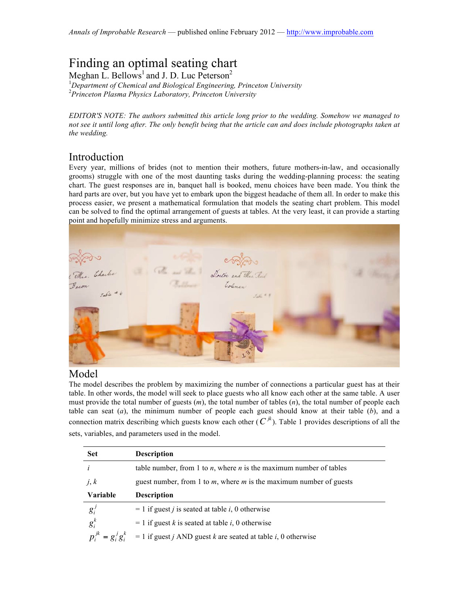# Finding an optimal seating chart

Meghan L. Bellows<sup>1</sup> and J. D. Luc Peterson<sup>2</sup>

1 *Department of Chemical and Biological Engineering, Princeton University* 2 *Princeton Plasma Physics Laboratory, Princeton University*

*EDITOR'S NOTE: The authors submitted this article long prior to the wedding. Somehow we managed to*  not see it until long after. The only benefit being that the article can and does include photographs taken at *the wedding.*

## Introduction

Every year, millions of brides (not to mention their mothers, future mothers-in-law, and occasionally grooms) struggle with one of the most daunting tasks during the wedding-planning process: the seating chart. The guest responses are in, banquet hall is booked, menu choices have been made. You think the hard parts are over, but you have yet to embark upon the biggest headache of them all. In order to make this process easier, we present a mathematical formulation that models the seating chart problem. This model can be solved to find the optimal arrangement of guests at tables. At the very least, it can provide a starting point and hopefully minimize stress and arguments.



### Model

The model describes the problem by maximizing the number of connections a particular guest has at their table. In other words, the model will seek to place guests who all know each other at the same table. A user must provide the total number of guests (*m*), the total number of tables (*n*), the total number of people each table can seat  $(a)$ , the minimum number of people each guest should know at their table  $(b)$ , and a connection matrix describing which guests know each other  $(C^{jk})$ . Table 1 provides descriptions of all the sets, variables, and parameters used in the model.

| <b>Set</b>               | <b>Description</b>                                                                    |  |  |  |  |  |
|--------------------------|---------------------------------------------------------------------------------------|--|--|--|--|--|
|                          | table number, from 1 to $n$ , where $n$ is the maximum number of tables               |  |  |  |  |  |
| j, k                     | guest number, from 1 to $m$ , where $m$ is the maximum number of guests               |  |  |  |  |  |
| Variable                 | <b>Description</b>                                                                    |  |  |  |  |  |
| $g_i^j$                  | $= 1$ if guest <i>j</i> is seated at table <i>i</i> , 0 otherwise                     |  |  |  |  |  |
| $g_i^k$                  | $= 1$ if guest k is seated at table i, 0 otherwise                                    |  |  |  |  |  |
| $p_i^{jk} = g_i^j g_i^k$ | $= 1$ if guest <i>j</i> AND guest <i>k</i> are seated at table <i>i</i> , 0 otherwise |  |  |  |  |  |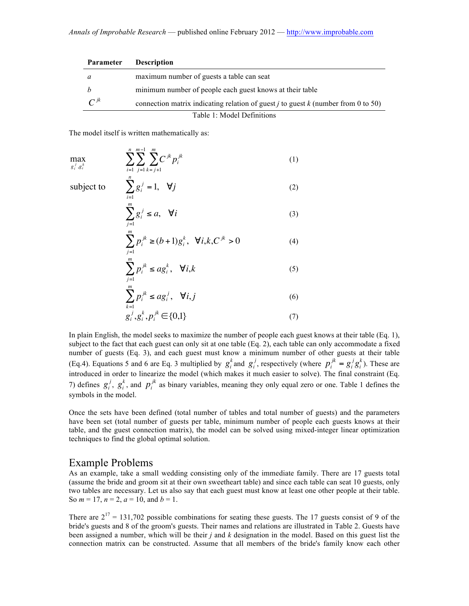| <b>Parameter</b>           | <b>Description</b>                                                                         |  |  |  |  |  |  |
|----------------------------|--------------------------------------------------------------------------------------------|--|--|--|--|--|--|
| a                          | maximum number of guests a table can seat                                                  |  |  |  |  |  |  |
|                            | minimum number of people each guest knows at their table                                   |  |  |  |  |  |  |
| $C^{jk}$                   | connection matrix indicating relation of guest <i>j</i> to guest $k$ (number from 0 to 50) |  |  |  |  |  |  |
| Table 1: Model Definitions |                                                                                            |  |  |  |  |  |  |

The model itself is written mathematically as:

$$
\max_{g_i^j, g_i^k} \qquad \sum_{i=1}^n \sum_{j=1}^{m-1} \sum_{k=j+1}^m C^{jk} p_i^{jk}
$$
\n  
\nsubject to\n
$$
\sum_{i=1}^n g_i^j = 1, \quad \forall j
$$
\n
$$
\sum_{j=1}^m g_i^j \le a, \quad \forall i
$$
\n
$$
\sum_{j=1}^m p_i^{jk} \ge (b+1) g_i^k, \quad \forall i, k, C^{jk} > 0
$$
\n
$$
\sum_{j=1}^m p_i^{jk} \le a g_i^k, \quad \forall i, k
$$
\n
$$
\sum_{k=1}^m p_i^{jk} \le a g_i^j, \quad \forall i, j
$$
\n(6)

$$
g_i^j, g_i^k, p_i^{jk} \in \{0,1\} \tag{7}
$$

subject to the fact that each guest can only sit at one table (Eq. 2), each table can only accommodate a fixed  $\mathbf{H}$ In plain English, the model seeks to maximize the number of people each guest knows at their table (Eq. 1), number of guests (Eq. 3), and each guest must know a minimum number of other guests at their table (Eq.4). Equations 5 and 6 are Eq. 3 multiplied by  $g_i^k$  and  $g_i^j$ , respectively (where  $p_i^{jk} = g_i^j g_i^k$ ). These are introduced in order to linearize the model (which makes it much easier to solve). The final constraint (Eq. 7) defines  $g_i^j$ ,  $g_i^k$ , and  $p_i^{jk}$  as binary variables, meaning they only equal zero or one. Table 1 defines the symbols in the model.

have been set (total number of guests per table, minimum number of people each guests knows at their Once the sets have been defined (total number of tables and total number of guests) and the parameters table, and the guest connection matrix), the model can be solved using mixed-integer linear optimization techniques to find the global optimal solution.

#### Example Problems

As an example, take a small wedding consisting only of the immediate family. There are 17 guests total (assume the bride and groom sit at their own sweetheart table) and since each table can seat 10 guests, only two tables are necessary. Let us also say that each guest must know at least one other people at their table. So  $m = 17$ ,  $n = 2$ ,  $a = 10$ , and  $b = 1$ .

There are  $2^{17} = 131,702$  possible combinations for seating these guests. The 17 guests consist of 9 of the bride's guests and 8 of the groom's guests. Their names and relations are illustrated in Table 2. Guests have been assigned a number, which will be their *j* and *k* designation in the model. Based on this guest list the connection matrix can be constructed. Assume that all members of the bride's family know each other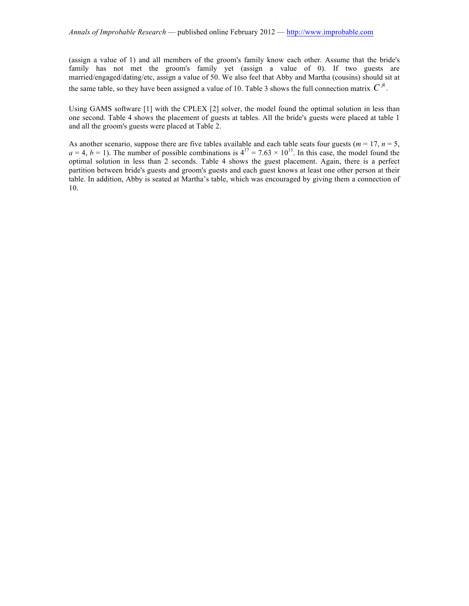(assign a value of 1) and all members of the groom's family know each other. Assume that the bride's family has not met the groom's family yet (assign a value of 0). If two guests are married/engaged/dating/etc, assign a value of 50. We also feel that Abby and Martha (cousins) should sit at the same table, so they have been assigned a value of 10. Table 3 shows the full connection matrix  $C^{jk}$ .

Using GAMS software [1] with the CPLEX [2] solver, the model found the optimal solution in less than one second. Table 4 shows the placement of guests at tables. All the bride's guests were placed at table 1 and all the groom's guests were placed at Table 2.

As another scenario, suppose there are five tables available and each table seats four guests ( $m = 17$ ,  $n = 5$ ,  $a = 4$ ,  $b = 1$ ). The number of possible combinations is  $4^{17} = 7.63 \times 10^{11}$ . In this case, the model found the optimal solution in less than 2 seconds. Table 4 shows the guest placement. Again, there is a perfect partition between bride's guests and groom's guests and each guest knows at least one other person at their table. In addition, Abby is seated at Martha's table, which was encouraged by giving them a connection of 10.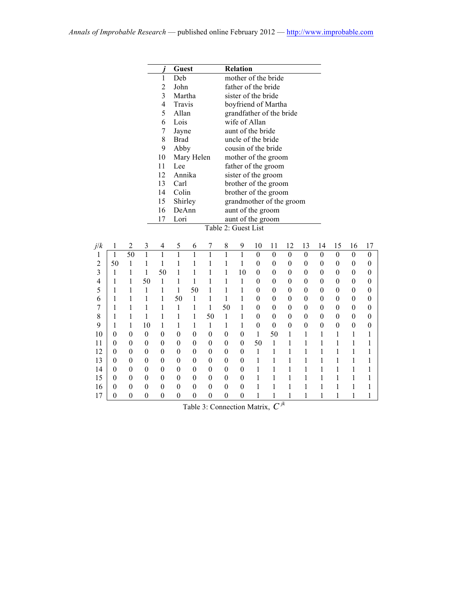|     |                  |                  |                  |                          | <b>Guest</b>     |                  |                  |                     | <b>Relation</b>  |                          |                  |                          |                  |                  |                  |                  |                  |
|-----|------------------|------------------|------------------|--------------------------|------------------|------------------|------------------|---------------------|------------------|--------------------------|------------------|--------------------------|------------------|------------------|------------------|------------------|------------------|
|     |                  |                  |                  | 1                        | Deb              |                  |                  |                     |                  | mother of the bride      |                  |                          |                  |                  |                  |                  |                  |
|     |                  |                  |                  | $\overline{c}$           | John             |                  |                  |                     |                  | father of the bride      |                  |                          |                  |                  |                  |                  |                  |
|     |                  |                  |                  | $\overline{\mathbf{3}}$  | Martha           |                  |                  |                     |                  | sister of the bride      |                  |                          |                  |                  |                  |                  |                  |
|     |                  |                  |                  | $\overline{4}$           | Travis           |                  |                  |                     |                  | boyfriend of Martha      |                  |                          |                  |                  |                  |                  |                  |
|     |                  |                  |                  | 5                        | Allan            |                  |                  |                     |                  | grandfather of the bride |                  |                          |                  |                  |                  |                  |                  |
|     |                  |                  |                  | 6                        | Lois             |                  |                  |                     | wife of Allan    |                          |                  |                          |                  |                  |                  |                  |                  |
|     |                  |                  |                  | 7                        | Jayne            |                  |                  |                     |                  | aunt of the bride        |                  |                          |                  |                  |                  |                  |                  |
|     |                  |                  |                  | 8                        | <b>Brad</b>      |                  |                  |                     |                  | uncle of the bride       |                  |                          |                  |                  |                  |                  |                  |
|     |                  |                  |                  | 9                        | Abby             |                  |                  |                     |                  | cousin of the bride      |                  |                          |                  |                  |                  |                  |                  |
|     |                  |                  |                  | 10                       |                  | Mary Helen       |                  |                     |                  | mother of the groom      |                  |                          |                  |                  |                  |                  |                  |
|     |                  |                  |                  | 11                       | Lee              |                  |                  |                     |                  | father of the groom      |                  |                          |                  |                  |                  |                  |                  |
|     |                  |                  |                  | 12                       | Annika           |                  |                  |                     |                  | sister of the groom      |                  |                          |                  |                  |                  |                  |                  |
|     |                  |                  |                  | 13                       | Carl             |                  |                  |                     |                  | brother of the groom     |                  |                          |                  |                  |                  |                  |                  |
|     |                  |                  |                  | 14                       | Colin            |                  |                  |                     |                  | brother of the groom     |                  |                          |                  |                  |                  |                  |                  |
|     |                  |                  |                  | 15                       | Shirley          |                  |                  |                     |                  |                          |                  | grandmother of the groom |                  |                  |                  |                  |                  |
|     |                  |                  |                  | 16                       | DeAnn            |                  |                  |                     |                  | aunt of the groom        |                  |                          |                  |                  |                  |                  |                  |
|     |                  |                  |                  | 17                       | Lori             |                  |                  |                     |                  | aunt of the groom        |                  |                          |                  |                  |                  |                  |                  |
|     |                  |                  |                  |                          |                  |                  |                  | Table 2: Guest List |                  |                          |                  |                          |                  |                  |                  |                  |                  |
|     |                  |                  |                  |                          |                  |                  |                  |                     |                  |                          |                  |                          |                  |                  |                  |                  |                  |
| j/k | $\mathbf{1}$     | $\overline{2}$   | $\mathfrak{Z}$   | $\overline{\mathcal{A}}$ | 5                | 6                | 7                | 8                   | 9                | 10                       | 11               | 12                       | 13               | 14               | 15               | 16               | 17               |
| 1   | $\mathbf{1}$     | 50               | $\overline{1}$   | $\mathbf{1}$             | $\mathbf{1}$     | $\mathbf{1}$     | $\mathbf{1}$     | $\mathbf{1}$        | $\overline{1}$   | $\boldsymbol{0}$         | $\mathbf{0}$     | $\mathbf{0}$             | $\boldsymbol{0}$ | $\boldsymbol{0}$ | $\boldsymbol{0}$ | $\boldsymbol{0}$ | $\boldsymbol{0}$ |
| 2   | 50               | $\mathbf{1}$     | 1                | 1                        | 1                | 1                | 1                | 1                   | 1                | $\theta$                 | $\theta$         | $\theta$                 | $\boldsymbol{0}$ | $\boldsymbol{0}$ | $\boldsymbol{0}$ | $\boldsymbol{0}$ | $\boldsymbol{0}$ |
| 3   | 1                | 1                | 1                | 50                       | 1                | 1                | $\mathbf{1}$     | 1                   | 10               | $\theta$                 | $\boldsymbol{0}$ | $\boldsymbol{0}$         | $\boldsymbol{0}$ | $\boldsymbol{0}$ | $\boldsymbol{0}$ | $\boldsymbol{0}$ | $\boldsymbol{0}$ |
| 4   | 1                | 1                | 50               | $\mathbf{1}$             | 1                | 1                | 1                | 1                   | 1                | $\theta$                 | $\theta$         | $\theta$                 | $\boldsymbol{0}$ | $\boldsymbol{0}$ | $\boldsymbol{0}$ | $\boldsymbol{0}$ | 0                |
| 5   | 1                | 1                | 1                | 1                        | 1                | 50               | 1                | $\mathbf{1}$        | 1                | 0                        | 0                | $\theta$                 | $\theta$         | $\boldsymbol{0}$ | $\boldsymbol{0}$ | $\boldsymbol{0}$ | $\boldsymbol{0}$ |
| 6   | 1                | 1                | 1                | 1                        | 50               | 1                | $\mathbf{1}$     | $\mathbf{1}$        | 1                | $\theta$                 | $\boldsymbol{0}$ | $\theta$                 | $\boldsymbol{0}$ | $\boldsymbol{0}$ | $\boldsymbol{0}$ | $\boldsymbol{0}$ | $\boldsymbol{0}$ |
| 7   | 1                | 1                | 1                | 1                        | 1                | 1                | 1                | 50                  | 1                | 0                        | $\boldsymbol{0}$ | $\theta$                 | $\boldsymbol{0}$ | $\boldsymbol{0}$ | $\boldsymbol{0}$ | $\boldsymbol{0}$ | $\boldsymbol{0}$ |
| 8   | 1                | 1                | 1                | 1                        | 1                | 1                | 50               | $\mathbf{1}$        | 1                | $\theta$                 | $\boldsymbol{0}$ | $\theta$                 | $\theta$         | $\boldsymbol{0}$ | $\boldsymbol{0}$ | $\theta$         | $\mathbf{0}$     |
| 9   | 1                | 1                | 10               | 1                        | 1                | 1                | $\mathbf{1}$     | 1                   | 1                | $\boldsymbol{0}$         | $\boldsymbol{0}$ | $\boldsymbol{0}$         | $\boldsymbol{0}$ | $\boldsymbol{0}$ | $\boldsymbol{0}$ | $\boldsymbol{0}$ | $\boldsymbol{0}$ |
| 10  | 0                | $\theta$         | $\theta$         | $\theta$                 | $\boldsymbol{0}$ | $\boldsymbol{0}$ | $\boldsymbol{0}$ | $\mathbf{0}$        | $\mathbf{0}$     | 1                        | 50               | 1                        | 1                | 1                | 1                | 1                | 1                |
| 11  | $\boldsymbol{0}$ | $\mathbf{0}$     | $\boldsymbol{0}$ | $\boldsymbol{0}$         | $\boldsymbol{0}$ | $\boldsymbol{0}$ | $\boldsymbol{0}$ | $\boldsymbol{0}$    | $\boldsymbol{0}$ | 50                       | $\mathbf{1}$     | 1                        | 1                | 1                | 1                | 1                | 1                |
| 12  | $\boldsymbol{0}$ | $\boldsymbol{0}$ | $\mathbf{0}$     | $\boldsymbol{0}$         | $\boldsymbol{0}$ | $\boldsymbol{0}$ | $\boldsymbol{0}$ | $\boldsymbol{0}$    | $\boldsymbol{0}$ | 1                        | 1                | 1                        | 1                | $\,1$            | $\mathbf{1}$     | 1                | 1                |
| 13  | $\boldsymbol{0}$ | $\mathbf{0}$     | $\theta$         | $\boldsymbol{0}$         | $\boldsymbol{0}$ | $\boldsymbol{0}$ | $\boldsymbol{0}$ | $\boldsymbol{0}$    | $\mathbf{0}$     | 1                        | 1                | 1                        | 1                | 1                | 1                | 1                | 1                |
| 14  | $\boldsymbol{0}$ | $\mathbf{0}$     | $\boldsymbol{0}$ | $\boldsymbol{0}$         | $\boldsymbol{0}$ | $\boldsymbol{0}$ | $\boldsymbol{0}$ | $\boldsymbol{0}$    | $\boldsymbol{0}$ | 1                        | 1                | $\mathbf{1}$             | $\mathbf{1}$     | $\,1$            | $\,1$            | 1                | 1                |
| 15  | $\boldsymbol{0}$ | $\theta$         | $\mathbf{0}$     | $\boldsymbol{0}$         | $\boldsymbol{0}$ | $\boldsymbol{0}$ | $\boldsymbol{0}$ | $\boldsymbol{0}$    | $\boldsymbol{0}$ | 1                        | 1                | $\mathbf{1}$             | $\mathbf{1}$     | $\,1$            | $\,1$            | 1                | 1                |
| 16  | $\theta$         | $\mathbf{0}$     | $\theta$         | $\boldsymbol{0}$         | $\boldsymbol{0}$ | $\boldsymbol{0}$ | $\boldsymbol{0}$ | $\boldsymbol{0}$    | $\mathbf{0}$     | 1                        | 1                | 1                        | 1                | 1                | 1                | 1                | 1                |
| 17  | $\boldsymbol{0}$ | $\boldsymbol{0}$ | $\mathbf{0}$     | $\boldsymbol{0}$         | $\mathbf{0}$     | $\boldsymbol{0}$ | $\boldsymbol{0}$ | $\boldsymbol{0}$    | $\boldsymbol{0}$ | 1                        | 1                | $\mathbf{1}$             | 1                | 1                | $\mathbf{1}$     | 1                | 1                |

Table 3: Connection Matrix, *C jk*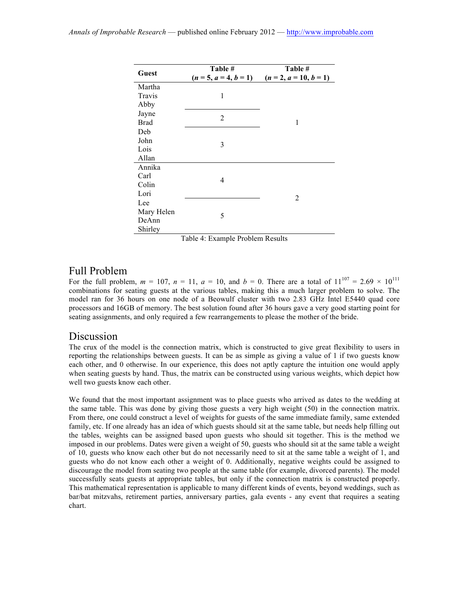| Guest       | Table #<br>$(n = 5, a = 4, b = 1)$ | Table #<br>$(n = 2, a = 10, b = 1)$ |  |  |  |  |  |
|-------------|------------------------------------|-------------------------------------|--|--|--|--|--|
| Martha      |                                    |                                     |  |  |  |  |  |
| Travis      | 1                                  |                                     |  |  |  |  |  |
| Abby        |                                    |                                     |  |  |  |  |  |
| Jayne       | $\overline{2}$                     |                                     |  |  |  |  |  |
| <b>Brad</b> |                                    | 1                                   |  |  |  |  |  |
| Deb         |                                    |                                     |  |  |  |  |  |
| John        | 3                                  |                                     |  |  |  |  |  |
| Lois        |                                    |                                     |  |  |  |  |  |
| Allan       |                                    |                                     |  |  |  |  |  |
| Annika      |                                    |                                     |  |  |  |  |  |
| Carl        | 4                                  |                                     |  |  |  |  |  |
| Colin       |                                    |                                     |  |  |  |  |  |
| Lori        |                                    | $\overline{2}$                      |  |  |  |  |  |
| Lee         |                                    |                                     |  |  |  |  |  |
| Mary Helen  | 5                                  |                                     |  |  |  |  |  |
| DeAnn       |                                    |                                     |  |  |  |  |  |
| Shirley     |                                    |                                     |  |  |  |  |  |

Table 4: Example Problem Results

## Full Problem

For the full problem,  $m = 107$ ,  $n = 11$ ,  $a = 10$ , and  $b = 0$ . There are a total of  $11^{107} = 2.69 \times 10^{111}$ combinations for seating guests at the various tables, making this a much larger problem to solve. The model ran for 36 hours on one node of a Beowulf cluster with two 2.83 GHz Intel E5440 quad core processors and 16GB of memory. The best solution found after 36 hours gave a very good starting point for seating assignments, and only required a few rearrangements to please the mother of the bride.

#### Discussion

The crux of the model is the connection matrix, which is constructed to give great flexibility to users in reporting the relationships between guests. It can be as simple as giving a value of 1 if two guests know each other, and 0 otherwise. In our experience, this does not aptly capture the intuition one would apply when seating guests by hand. Thus, the matrix can be constructed using various weights, which depict how well two guests know each other.

We found that the most important assignment was to place guests who arrived as dates to the wedding at the same table. This was done by giving those guests a very high weight (50) in the connection matrix. From there, one could construct a level of weights for guests of the same immediate family, same extended family, etc. If one already has an idea of which guests should sit at the same table, but needs help filling out the tables, weights can be assigned based upon guests who should sit together. This is the method we imposed in our problems. Dates were given a weight of 50, guests who should sit at the same table a weight of 10, guests who know each other but do not necessarily need to sit at the same table a weight of 1, and guests who do not know each other a weight of 0. Additionally, negative weights could be assigned to discourage the model from seating two people at the same table (for example, divorced parents). The model successfully seats guests at appropriate tables, but only if the connection matrix is constructed properly. This mathematical representation is applicable to many different kinds of events, beyond weddings, such as bar/bat mitzvahs, retirement parties, anniversary parties, gala events - any event that requires a seating chart.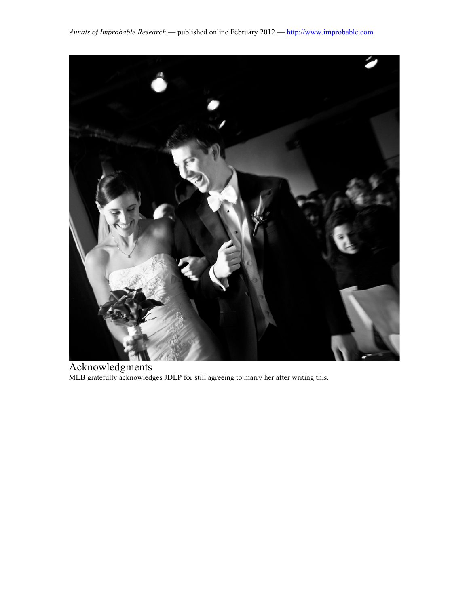

Acknowledgments MLB gratefully acknowledges JDLP for still agreeing to marry her after writing this.